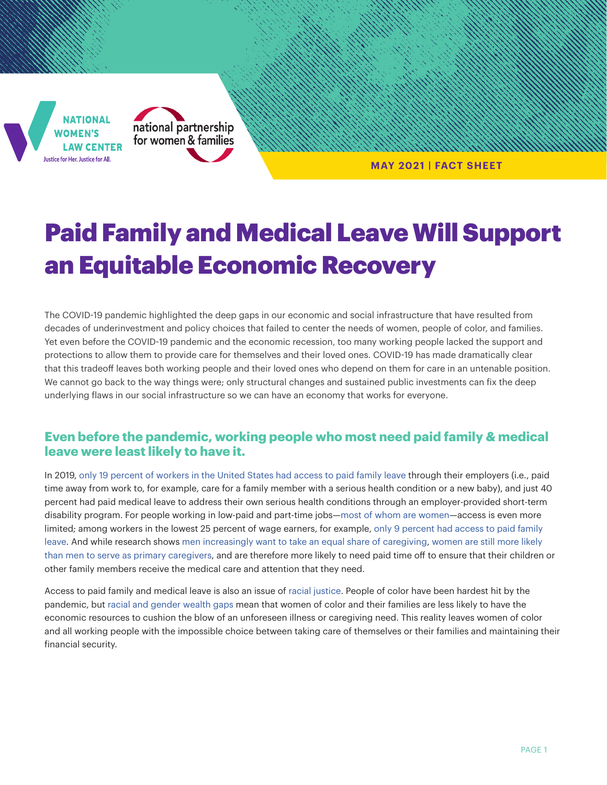



**MAY 2021 | FACT SHEET**

# Paid Family and Medical Leave Will Support an Equitable Economic Recovery

The COVID-19 pandemic highlighted the deep gaps in our economic and social infrastructure that have resulted from decades of underinvestment and policy choices that failed to center the needs of women, people of color, and families. Yet even before the COVID-19 pandemic and the economic recession, too many working people lacked the support and protections to allow them to provide care for themselves and their loved ones. COVID-19 has made dramatically clear that this tradeoff leaves both working people and their loved ones who depend on them for care in an untenable position. We cannot go back to the way things were; only structural changes and sustained public investments can fix the deep underlying flaws in our social infrastructure so we can have an economy that works for everyone.

# **Even before the pandemic, working people who most need paid family & medical leave were least likely to have it.**

In 2019, [only 19 percent of workers in the United States had access to paid family leave](https://www.bls.gov/ncs/ebs/benefits/2019/employee-benefits-in-the-united-states-march-2019.pdf) through their employers (i.e., paid time away from work to, for example, care for a family member with a serious health condition or a new baby), and just 40 percent had paid medical leave to address their own serious health conditions through an employer-provided short-term disability program. For people working in low-paid and part-time jobs—[most of whom are women—](https://nwlc.org/resources/when-hard-work-is-not-enough-women-in-low-paid-jobs/)access is even more limited; among workers in the lowest 25 percent of wage earners, for example, [only 9 percent had access to paid family](https://www.bls.gov/ncs/ebs/benefits/2019/employee-benefits-in-the-united-states-march-2019.pdf)  [leave.](https://www.bls.gov/ncs/ebs/benefits/2019/employee-benefits-in-the-united-states-march-2019.pdf) And while research shows [men increasingly want to take an equal share of caregiving,](https://www.newamerica.org/better-life-lab/reports/lifting-barriers-paid-family-and-medical-leave-men-united-states/) [women are still more likely](https://www.americanprogress.org/issues/women/reports/2018/05/18/450972/unequal-division-labor/)  [than men to serve as primary caregivers,](https://www.americanprogress.org/issues/women/reports/2018/05/18/450972/unequal-division-labor/) and are therefore more likely to need paid time off to ensure that their children or other family members receive the medical care and attention that they need.

Access to paid family and medical leave is also an issue of [racial justice](https://www.nationalpartnership.org/our-work/resources/economic-justice/paid-leave/called-to-care-a-racially-just-recovery-demands-paid-family-and-medical-leave.pdf). People of color have been hardest hit by the pandemic, but [racial and gender wealth gaps](https://nwlc.org/resources/the-wage-gap-has-robbed-women-of-their-ability-to-weather-covid-19/) mean that women of color and their families are less likely to have the economic resources to cushion the blow of an unforeseen illness or caregiving need. This reality leaves women of color and all working people with the impossible choice between taking care of themselves or their families and maintaining their financial security.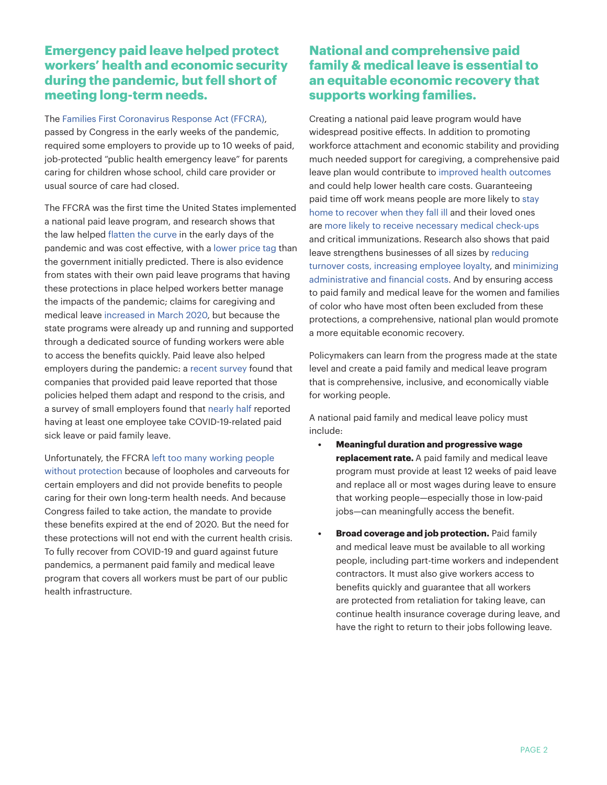# **Emergency paid leave helped protect workers' health and economic security during the pandemic, but fell short of meeting long-term needs.**

The [Families First Coronavirus Response Act \(FFCRA\),](https://www.congress.gov/116/bills/hr6201/BILLS-116hr6201enr.pdf) passed by Congress in the early weeks of the pandemic, required some employers to provide up to 10 weeks of paid, job-protected "public health emergency leave" for parents caring for children whose school, child care provider or usual source of care had closed.

The FFCRA was the first time the United States implemented a national paid leave program, and research shows that the law helped [flatten the curve](https://www.healthaffairs.org/doi/10.1377/hlthaff.2020.00863) in the early days of the pandemic and was cost effective, with a [lower price tag](https://www.gao.gov/assets/gao-21-191.pdf) than the government initially predicted. There is also evidence from states with their own paid leave programs that having these protections in place helped workers better manage the impacts of the pandemic; claims for caregiving and medical leave [increased in March 2020](https://www.urban.org/sites/default/files/publication/102325/state-paid-family-and-medical-leave-programs-helped-a-surge-of-workers-affected-by-the-covid-19-pandemic_0.pdf), but because the state programs were already up and running and supported through a dedicated source of funding workers were able to access the benefits quickly. Paid leave also helped employers during the pandemic: a [recent survey](https://static1.squarespace.com/static/56018de2e4b097f984369ce2/t/600b32d01da2f75f67b6b2a0/1611346650852/PaidLeaveandthePandemicReport.pdf) found that companies that provided paid leave reported that those policies helped them adapt and respond to the crisis, and a survey of small employers found that [nearly half](https://assets.nfib.com/nfibcom/Covid-19-15-Questionnaire_.pdf) reported having at least one employee take COVID-19-related paid sick leave or paid family leave.

Unfortunately, the FFCRA [left too many working people](https://www.americanprogress.org/issues/economy/news/2020/04/17/483287/coronavirus-paid-leave-exemptions-exclude-millions-workers-coverage/)  [without protection](https://www.americanprogress.org/issues/economy/news/2020/04/17/483287/coronavirus-paid-leave-exemptions-exclude-millions-workers-coverage/) because of loopholes and carveouts for certain employers and did not provide benefits to people caring for their own long-term health needs. And because Congress failed to take action, the mandate to provide these benefits expired at the end of 2020. But the need for these protections will not end with the current health crisis. To fully recover from COVID-19 and guard against future pandemics, a permanent paid family and medical leave program that covers all workers must be part of our public health infrastructure.

# **National and comprehensive paid family & medical leave is essential to an equitable economic recovery that supports working families.**

Creating a national paid leave program would have widespread positive effects. In addition to promoting workforce attachment and economic stability and providing much needed support for caregiving, a comprehensive paid leave plan would contribute to [improved health outcomes](https://caringacross.org/wp-content/uploads/2019/11/NAC_SandwichCaregiving_Report_digital112019.pdf) and could help lower health care costs. Guaranteeing paid time off work means people are more likely to [stay](http://paidfamilyleave.org/pdf/NebwornFamilyLeave.pdf)  [home to recover when they fall ill](http://paidfamilyleave.org/pdf/NebwornFamilyLeave.pdf) and their loved ones are [more likely to receive necessary medical check-ups](https://www.ncbi.nlm.nih.gov/pmc/articles/PMC5810022/pdf/40985_2017_Article_67.pdf)  and critical immunizations. Research also shows that paid leave strengthens businesses of all sizes by [reducing](https://www.newamerica.org/better-life-lab/reports/paid-family-leave-how-much-time-enough/economic-impact/)  [turnover costs, increasing employee loyalty](https://www.newamerica.org/better-life-lab/reports/paid-family-leave-how-much-time-enough/economic-impact/), and [minimizing](https://mainstreetalliance.org/small_business_owners_support_family_act)  [administrative and financial costs.](https://mainstreetalliance.org/small_business_owners_support_family_act) And by ensuring access to paid family and medical leave for the women and families of color who have most often been excluded from these protections, a comprehensive, national plan would promote a more equitable economic recovery.

Policymakers can learn from the progress made at the state level and create a paid family and medical leave program that is comprehensive, inclusive, and economically viable for working people.

A national paid family and medical leave policy must include:

- **• Meaningful duration and progressive wage replacement rate.** A paid family and medical leave program must provide at least 12 weeks of paid leave and replace all or most wages during leave to ensure that working people—especially those in low-paid jobs—can meaningfully access the benefit.
- **Broad coverage and job protection.** Paid family and medical leave must be available to all working people, including part-time workers and independent contractors. It must also give workers access to benefits quickly and guarantee that all workers are protected from retaliation for taking leave, can continue health insurance coverage during leave, and have the right to return to their jobs following leave.